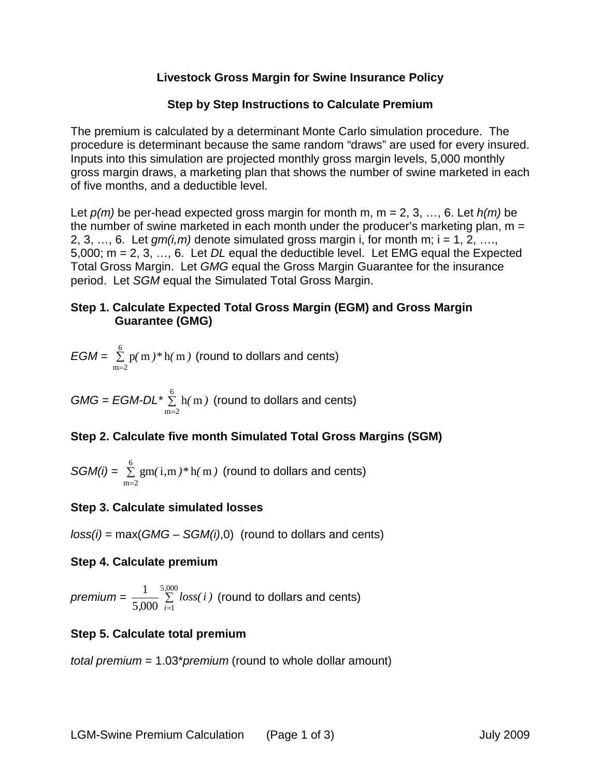## **Livestock Gross Margin for Swine Insurance Policy**

## **Step by Step Instructions to Calculate Premium**

The premium is calculated by a determinant Monte Carlo simulation procedure. The procedure is determinant because the same random "draws" are used for every insured. Inputs into this simulation are projected monthly gross margin levels, 5,000 monthly gross margin draws, a marketing plan that shows the number of swine marketed in each of five months, and a deductible level.

Let *p(m)* be per-head expected gross margin for month m, m = 2, 3, …, 6. Let *h(m)* be the number of swine marketed in each month under the producer's marketing plan,  $m =$ 2, 3, ..., 6. Let  $qm(i,m)$  denote simulated gross margin i, for month m;  $i = 1, 2, \ldots$ 5,000; m = 2, 3, …, 6. Let *DL* equal the deductible level. Let EMG equal the Expected Total Gross Margin. Let *GMG* equal the Gross Margin Guarantee for the insurance period. Let *SGM* equal the Simulated Total Gross Margin.

## **Step 1. Calculate Expected Total Gross Margin (EGM) and Gross Margin Guarantee (GMG)**

$$
EGM = \sum_{m=2}^{6} p(m)*h(m)
$$
 (round to dollars and cents)

 $GMG = EGM-DL * \frac{6}{2}$  $m = 2$ h m*( )* =  $\Sigma$  h(m) (round to dollars and cents)

# **Step 2. Calculate five month Simulated Total Gross Margins (SGM)**

SGM(i) = 
$$
\sum_{m=2}^{6}
$$
 gm(i,m)\*h(m) (round to dollars and cents)

### **Step 3. Calculate simulated losses**

*loss(i)* = max(*GMG* – *SGM(i)*,0) (round to dollars and cents)

### **Step 4. Calculate premium**

*premium* =  $\frac{1}{5,000}$  ∑ = 5,000 5,000  $\sum_{i=1}$ 1 *,*  $\frac{1}{i}$ ,  $\sum_{i=1}^{n}$  *loss(i)* (round to dollars and cents)

# **Step 5. Calculate total premium**

*total premium* = 1.03\**premium* (round to whole dollar amount)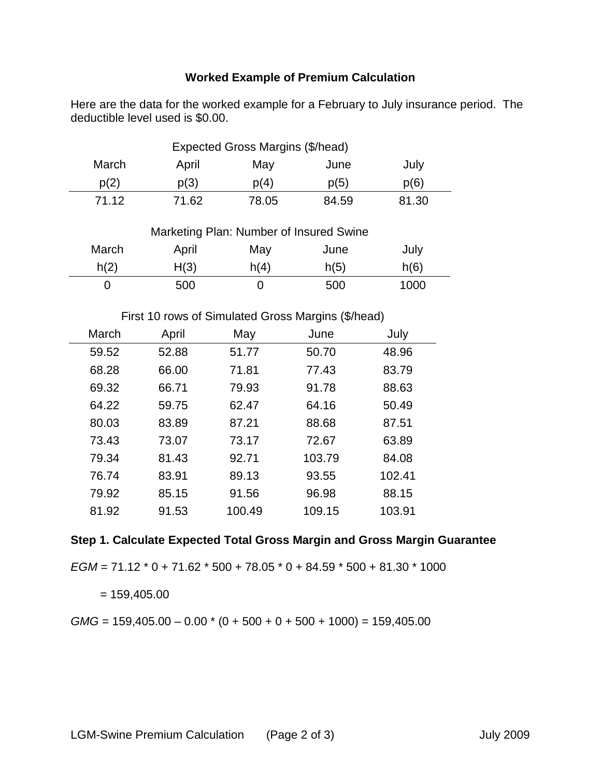# **Worked Example of Premium Calculation**

Here are the data for the worked example for a February to July insurance period. The deductible level used is \$0.00.

| Expected Gross Margins (\$/head) |       |       |       |       |
|----------------------------------|-------|-------|-------|-------|
| March                            | April | May   | June  | July  |
| p(2)                             | p(3)  | p(4)  | p(5)  | p(6)  |
| 71 12                            | 71.62 | 78.05 | 84.59 | 81.30 |

| Marketing Plan: Number of Insured Swine |       |      |      |      |
|-----------------------------------------|-------|------|------|------|
| March                                   | April | May  | June | July |
| h(2)                                    | H(3)  | h(4) | h(5) | h(6) |
|                                         | 500   |      | 500  | 1000 |

#### First 10 rows of Simulated Gross Margins (\$/head)

| March | April | May    | June   | July   |
|-------|-------|--------|--------|--------|
| 59.52 | 52.88 | 51.77  | 50.70  | 48.96  |
| 68.28 | 66.00 | 71.81  | 77.43  | 83.79  |
| 69.32 | 66.71 | 79.93  | 91.78  | 88.63  |
| 64.22 | 59.75 | 62.47  | 64.16  | 50.49  |
| 80.03 | 83.89 | 87.21  | 88.68  | 87.51  |
| 73.43 | 73.07 | 73.17  | 72.67  | 63.89  |
| 79.34 | 81.43 | 92.71  | 103.79 | 84.08  |
| 76.74 | 83.91 | 89.13  | 93.55  | 102.41 |
| 79.92 | 85.15 | 91.56  | 96.98  | 88.15  |
| 81.92 | 91.53 | 100.49 | 109.15 | 103.91 |

### **Step 1. Calculate Expected Total Gross Margin and Gross Margin Guarantee**

*EGM* = 71.12 \* 0 + 71.62 \* 500 + 78.05 \* 0 + 84.59 \* 500 + 81.30 \* 1000

 $= 159,405.00$ 

 $GMG = 159,405.00 - 0.00 * (0 + 500 + 0 + 500 + 1000) = 159,405.00$